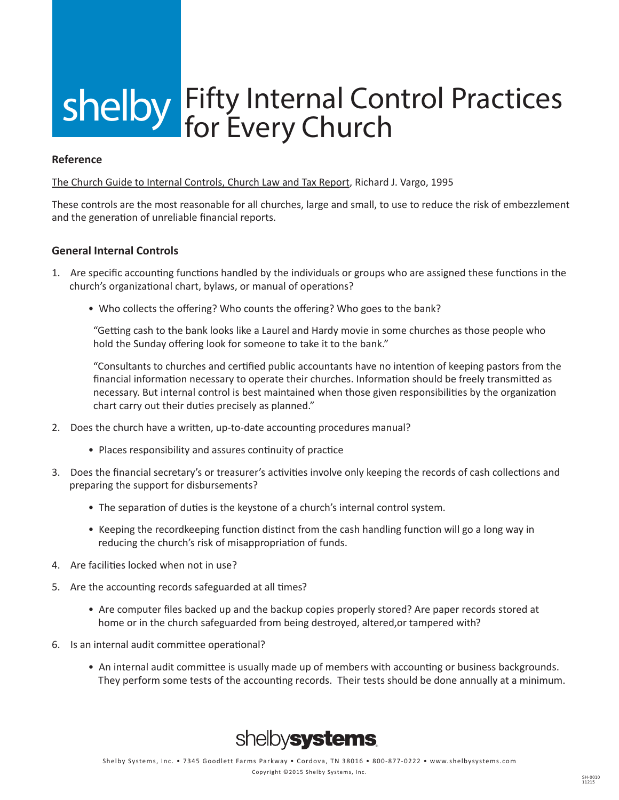# shelby Fifty Internal Control Practices for Every Church

#### **Reference**

The Church Guide to Internal Controls, Church Law and Tax Report, Richard J. Vargo, 1995

These controls are the most reasonable for all churches, large and small, to use to reduce the risk of embezzlement and the generation of unreliable financial reports.

### **General Internal Controls**

- 1. Are specific accounting functions handled by the individuals or groups who are assigned these functions in the church's organizational chart, bylaws, or manual of operations?
	- Who collects the offering? Who counts the offering? Who goes to the bank?

"Getting cash to the bank looks like a Laurel and Hardy movie in some churches as those people who hold the Sunday offering look for someone to take it to the bank."

"Consultants to churches and certified public accountants have no intention of keeping pastors from the financial information necessary to operate their churches. Information should be freely transmitted as necessary. But internal control is best maintained when those given responsibilities by the organization chart carry out their duties precisely as planned."

- 2. Does the church have a written, up-to-date accounting procedures manual?
	- Places responsibility and assures continuity of practice
- 3. Does the financial secretary's or treasurer's activities involve only keeping the records of cash collections and preparing the support for disbursements?
	- The separation of duties is the keystone of a church's internal control system.
	- Keeping the recordkeeping function distinct from the cash handling function will go a long way in reducing the church's risk of misappropriation of funds.
- 4. Are facilities locked when not in use?
- 5. Are the accounting records safeguarded at all times?
	- Are computer files backed up and the backup copies properly stored? Are paper records stored at home or in the church safeguarded from being destroyed, altered,or tampered with?
- 6. Is an internal audit committee operational?
	- An internal audit committee is usually made up of members with accounting or business backgrounds. They perform some tests of the accounting records. Their tests should be done annually at a minimum.

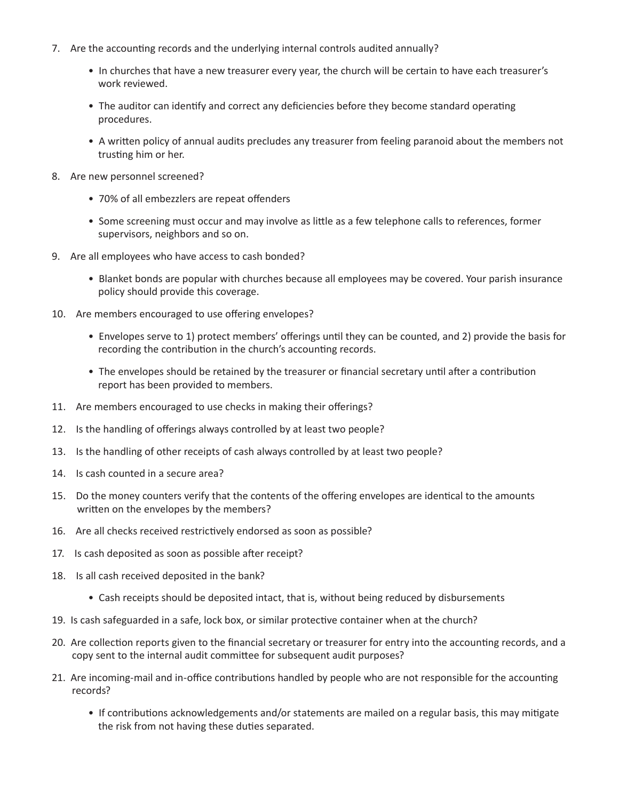- 7. Are the accounting records and the underlying internal controls audited annually?
	- In churches that have a new treasurer every year, the church will be certain to have each treasurer's work reviewed.
	- The auditor can identify and correct any deficiencies before they become standard operating procedures.
	- A written policy of annual audits precludes any treasurer from feeling paranoid about the members not trusting him or her.
- 8. Are new personnel screened?
	- 70% of all embezzlers are repeat offenders
	- Some screening must occur and may involve as little as a few telephone calls to references, former supervisors, neighbors and so on.
- 9. Are all employees who have access to cash bonded?
	- Blanket bonds are popular with churches because all employees may be covered. Your parish insurance policy should provide this coverage.
- 10. Are members encouraged to use offering envelopes?
	- Envelopes serve to 1) protect members' offerings until they can be counted, and 2) provide the basis for recording the contribution in the church's accounting records.
	- The envelopes should be retained by the treasurer or financial secretary until after a contribution report has been provided to members.
- 11. Are members encouraged to use checks in making their offerings?
- 12. Is the handling of offerings always controlled by at least two people?
- 13. Is the handling of other receipts of cash always controlled by at least two people?
- 14. Is cash counted in a secure area?
- 15. Do the money counters verify that the contents of the offering envelopes are identical to the amounts written on the envelopes by the members?
- 16. Are all checks received restrictively endorsed as soon as possible?
- 17. Is cash deposited as soon as possible after receipt?
- 18. Is all cash received deposited in the bank?
	- Cash receipts should be deposited intact, that is, without being reduced by disbursements
- 19. Is cash safeguarded in a safe, lock box, or similar protective container when at the church?
- 20. Are collection reports given to the financial secretary or treasurer for entry into the accounting records, and a copy sent to the internal audit committee for subsequent audit purposes?
- 21. Are incoming-mail and in-office contributions handled by people who are not responsible for the accounting records?
	- If contributions acknowledgements and/or statements are mailed on a regular basis, this may mitigate the risk from not having these duties separated.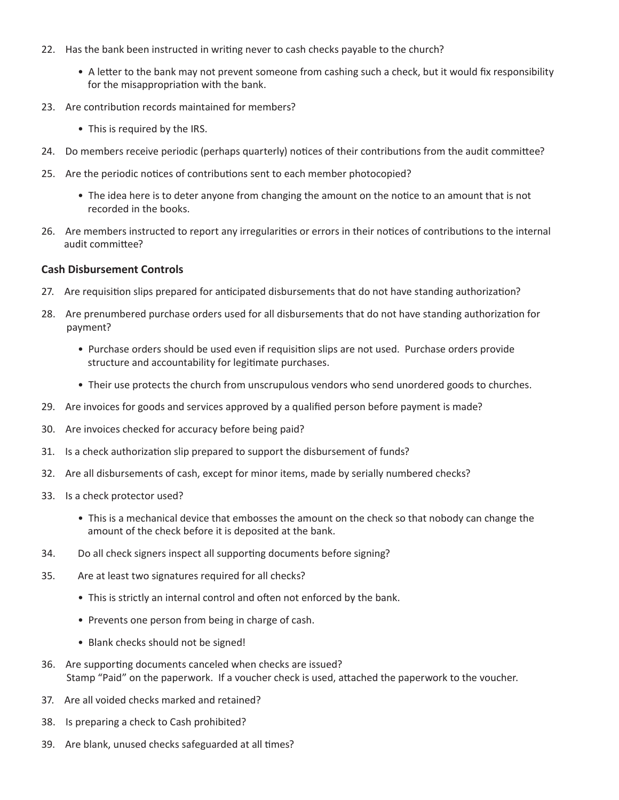- 22. Has the bank been instructed in writing never to cash checks payable to the church?
	- A letter to the bank may not prevent someone from cashing such a check, but it would fix responsibility for the misappropriation with the bank.
- 23. Are contribution records maintained for members?
	- This is required by the IRS.
- 24. Do members receive periodic (perhaps quarterly) notices of their contributions from the audit committee?
- 25. Are the periodic notices of contributions sent to each member photocopied?
	- The idea here is to deter anyone from changing the amount on the notice to an amount that is not recorded in the books.
- 26. Are members instructed to report any irregularities or errors in their notices of contributions to the internal audit committee?

### **Cash Disbursement Controls**

- 27. Are requisition slips prepared for anticipated disbursements that do not have standing authorization?
- 28. Are prenumbered purchase orders used for all disbursements that do not have standing authorization for payment?
	- Purchase orders should be used even if requisition slips are not used. Purchase orders provide structure and accountability for legitimate purchases.
	- Their use protects the church from unscrupulous vendors who send unordered goods to churches.
- 29. Are invoices for goods and services approved by a qualified person before payment is made?
- 30. Are invoices checked for accuracy before being paid?
- 31. Is a check authorization slip prepared to support the disbursement of funds?
- 32. Are all disbursements of cash, except for minor items, made by serially numbered checks?
- 33. Is a check protector used?
	- This is a mechanical device that embosses the amount on the check so that nobody can change the amount of the check before it is deposited at the bank.
- 34. Do all check signers inspect all supporting documents before signing?
- 35. Are at least two signatures required for all checks?
	- This is strictly an internal control and often not enforced by the bank.
	- Prevents one person from being in charge of cash.
	- Blank checks should not be signed!
- 36. Are supporting documents canceled when checks are issued? Stamp "Paid" on the paperwork. If a voucher check is used, attached the paperwork to the voucher.
- 37. Are all voided checks marked and retained?
- 38. Is preparing a check to Cash prohibited?
- 39. Are blank, unused checks safeguarded at all times?